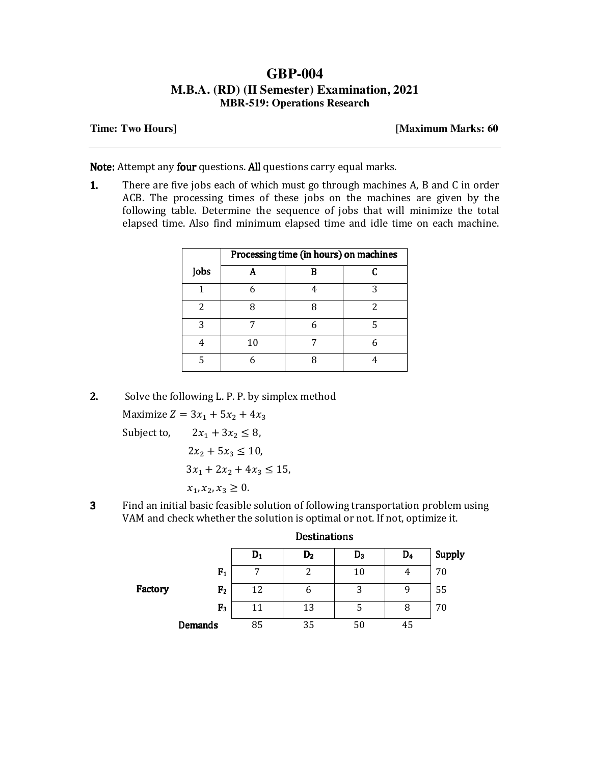## **GBP-004 M.B.A. (RD) (II Semester) Examination, 2021 MBR-519: Operations Research**

## **Time: Two Hours] [Maximum Marks: 60**

Note: Attempt any four questions. All questions carry equal marks.

1. There are five jobs each of which must go through machines A, B and C in order ACB. The processing times of these jobs on the machines are given by the following table. Determine the sequence of jobs that will minimize the total elapsed time. Also find minimum elapsed time and idle time on each machine.

|      | Processing time (in hours) on machines |   |   |  |
|------|----------------------------------------|---|---|--|
| Jobs |                                        | П |   |  |
|      |                                        |   | 2 |  |
|      |                                        |   | 2 |  |
| २    |                                        |   | ц |  |
|      | 10                                     |   |   |  |
|      |                                        |   |   |  |

2. Solve the following L. P. P. by simplex method

Maximize  $Z = 3x_1 + 5x_2 + 4x_3$ Subject to,  $2x_1 + 3x_2 \le 8$ ,  $2x_2 + 5x_3 \le 10$ ,  $3x_1 + 2x_2 + 4x_3 \le 15$ ,  $x_1, x_2, x_3 \geq 0$ .

3 Find an initial basic feasible solution of following transportation problem using VAM and check whether the solution is optimal or not. If not, optimize it.

|         |                | <b>Destinations</b> |                |       |                |               |
|---------|----------------|---------------------|----------------|-------|----------------|---------------|
|         |                | $D_1$               | D <sub>2</sub> | $D_3$ | D <sub>4</sub> | <b>Supply</b> |
|         | F <sub>1</sub> | ⇁                   | າ              | 10    | 4              | 70            |
| Factory | F <sub>2</sub> | 12                  | b              | 3     | q              | 55            |
|         | F <sub>3</sub> | 11                  | 13             | Ⴢ     | 8              | 70            |
|         | <b>Demands</b> | 85                  | 35             | 50    | 45             |               |